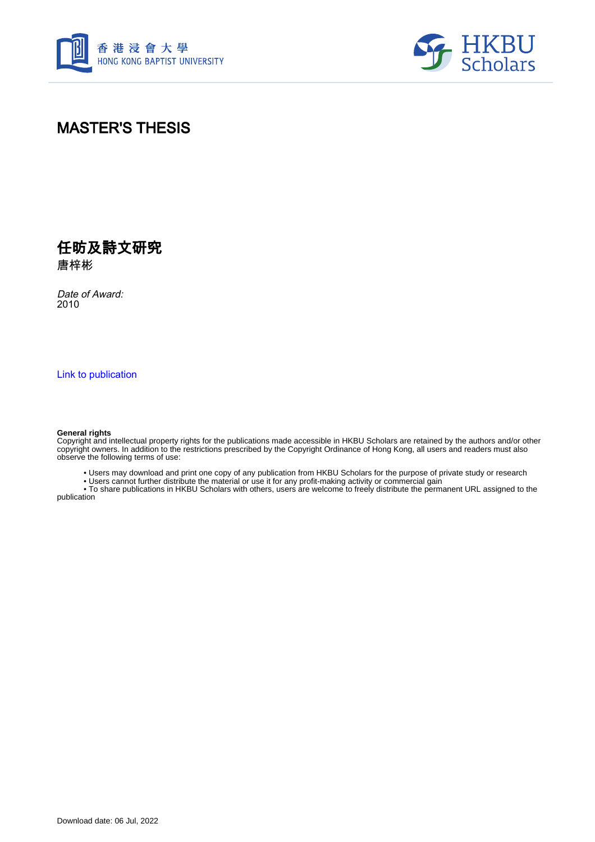



### MASTER'S THESIS

任昉及詩文研究 唐梓彬

Date of Award: 2010

[Link to publication](https://scholars.hkbu.edu.hk/en/studentTheses/e23a966e-4c50-4092-bf37-403f3c0b333f)

#### **General rights**

Copyright and intellectual property rights for the publications made accessible in HKBU Scholars are retained by the authors and/or other copyright owners. In addition to the restrictions prescribed by the Copyright Ordinance of Hong Kong, all users and readers must also observe the following terms of use:

• Users may download and print one copy of any publication from HKBU Scholars for the purpose of private study or research

• Users cannot further distribute the material or use it for any profit-making activity or commercial gain

 • To share publications in HKBU Scholars with others, users are welcome to freely distribute the permanent URL assigned to the publication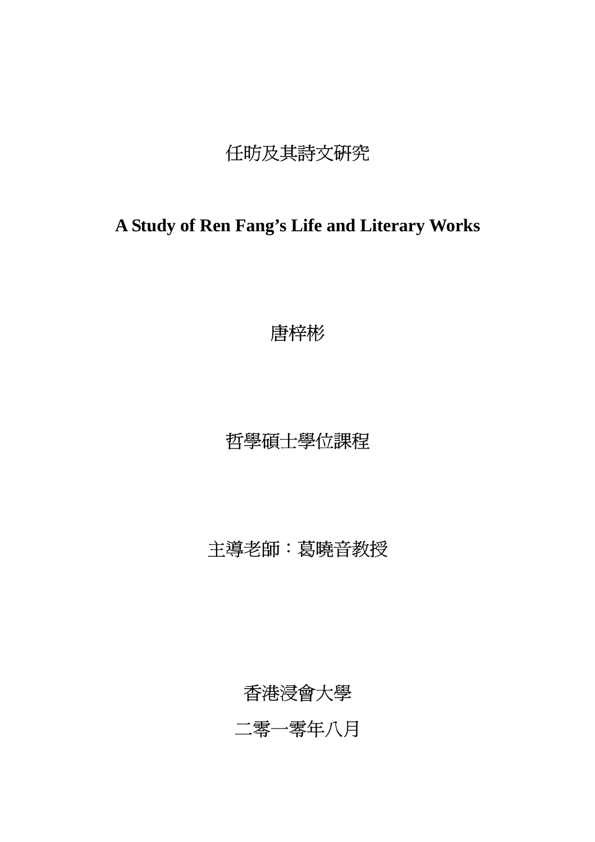# 任昉及其詩文研究

## **A Study of Ren Fang's Life and Literary Works**

唐梓彬

## 哲學碩士學位課程

# 主導老師:葛曉音教授

香港浸會大學

二零一零年八月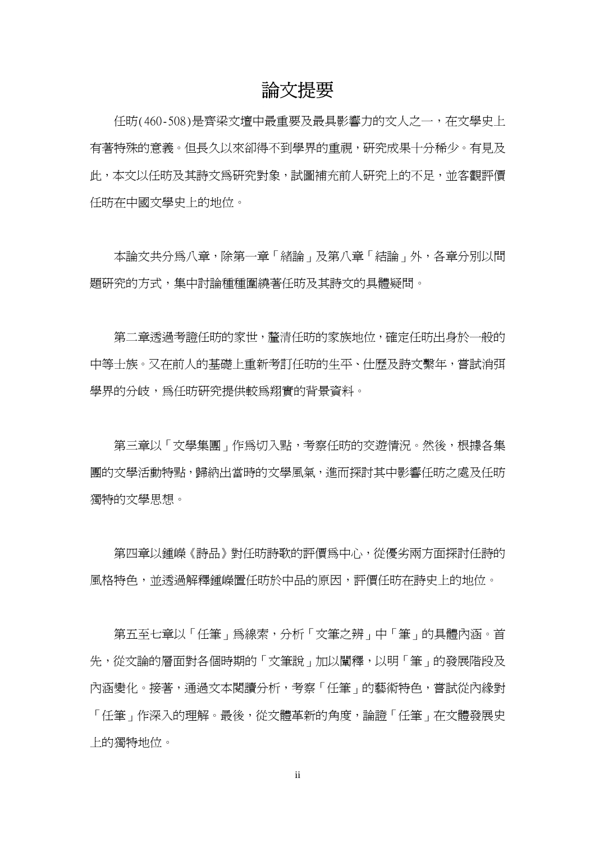#### 論文提要

任昉(460-508)是齊梁文壇中最重要及最具影響力的文人之一,在文學史上 有著特殊的意義。但長久以來卻得不到學界的重視,研究成果十分稀少。有見及 此,本文以任昉及其詩文為研究對象,試圖補充前人研究上的不足,並客觀評價 任昉在中國文學史上的地位。

本論文共分為八章,除第一章「緒論」及第八章「結論」外,各章分別以問 題研究的方式,集中討論種種圍繞著任昉及其詩文的具體疑問。

第二章透過考證任昉的家世,釐清任昉的家族地位,確定任昉出身於一般的 中等士族。又在前人的基礎上重新考訂任昉的生平、仕歷及詩文繫年,嘗試消弭 學界的分岐,為任昉研究提供較爲翔實的背景資料。

第三章以「文學集團」作為切入點,考察任昉的交游情況。然後,根據各集 團的文學活動特點,歸納出當時的文學風氣,進而探討其中影響任昉之處及任昉 獨特的文學思想。

第四章以鍾嶸《詩品》對任昉詩歌的評價爲中心,從優劣兩方面探討任詩的 風格特色,並透過解釋鍾嶸置任昉於中品的原因,評價任昉在詩史上的地位。

 第五至七章以「任筆」為線索,分析「文筆之辨」中「筆」的具體內涵。首 先,從文論的層面對各個時期的「文筆說」加以闡釋,以明「筆」的發展階段及 內涵變化。接著,通過文本閱讀分析,考察「任筆」的藝術特色,嘗試從內緣對 「任筆」作深入的理解。最後,從文體革新的角度,論證「任筆」在文體發展史 上的獨特地位。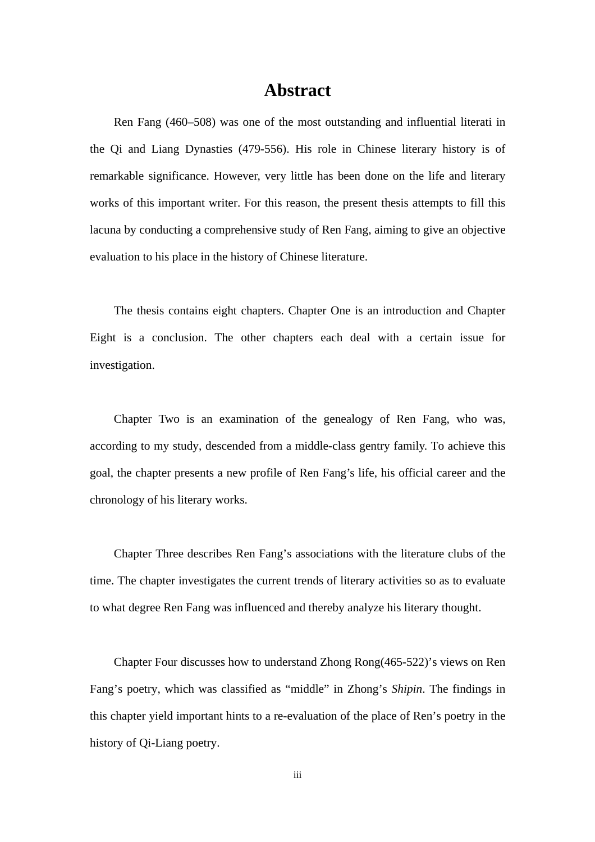#### **Abstract**

Ren Fang (460–508) was one of the most outstanding and influential literati in the Qi and Liang Dynasties (479-556). His role in Chinese literary history is of remarkable significance. However, very little has been done on the life and literary works of this important writer. For this reason, the present thesis attempts to fill this lacuna by conducting a comprehensive study of Ren Fang, aiming to give an objective evaluation to his place in the history of Chinese literature.

 The thesis contains eight chapters. Chapter One is an introduction and Chapter Eight is a conclusion. The other chapters each deal with a certain issue for investigation.

 Chapter Two is an examination of the genealogy of Ren Fang, who was, according to my study, descended from a middle-class gentry family. To achieve this goal, the chapter presents a new profile of Ren Fang's life, his official career and the chronology of his literary works.

 Chapter Three describes Ren Fang's associations with the literature clubs of the time. The chapter investigates the current trends of literary activities so as to evaluate to what degree Ren Fang was influenced and thereby analyze his literary thought.

 Chapter Four discusses how to understand Zhong Rong(465-522)'s views on Ren Fang's poetry, which was classified as "middle" in Zhong's *Shipin*. The findings in this chapter yield important hints to a re-evaluation of the place of Ren's poetry in the history of Qi-Liang poetry.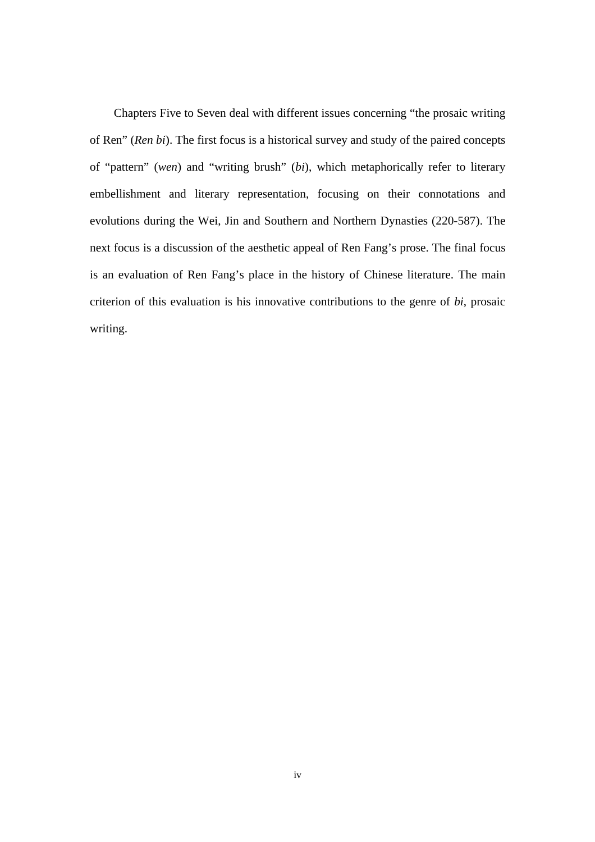Chapters Five to Seven deal with different issues concerning "the prosaic writing of Ren" (*Ren bi*). The first focus is a historical survey and study of the paired concepts of "pattern" (*wen*) and "writing brush" (*bi*), which metaphorically refer to literary embellishment and literary representation, focusing on their connotations and evolutions during the Wei, Jin and Southern and Northern Dynasties (220-587). The next focus is a discussion of the aesthetic appeal of Ren Fang's prose. The final focus is an evaluation of Ren Fang's place in the history of Chinese literature. The main criterion of this evaluation is his innovative contributions to the genre of *bi*, prosaic writing.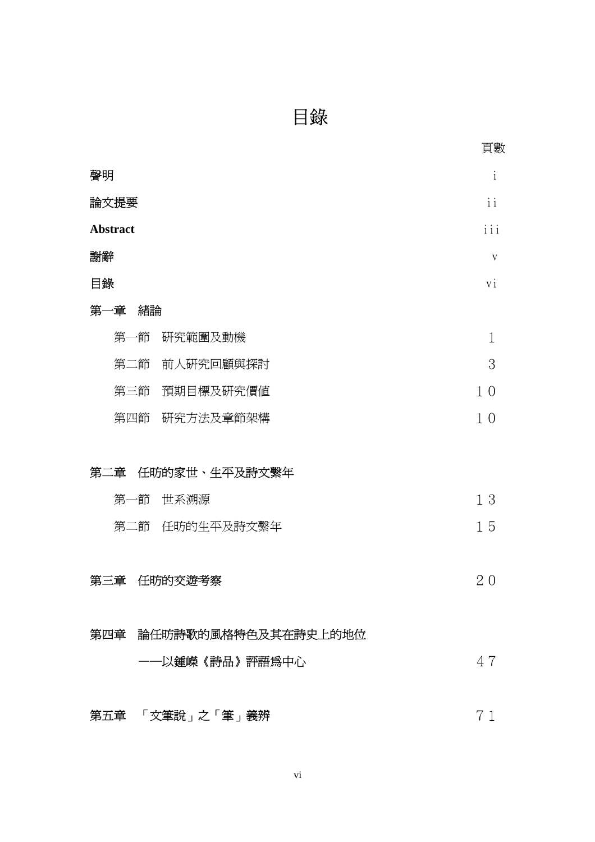目錄

|    |                 |     |                         | 頁數                            |
|----|-----------------|-----|-------------------------|-------------------------------|
| 聲明 |                 |     |                         | $\mathbf{i}$                  |
|    | 論文提要            |     |                         | $\mathbf{i}$ $\mathbf{i}$     |
|    | <b>Abstract</b> |     |                         | $\overline{i}$ $\overline{i}$ |
| 謝辭 |                 |     |                         | V                             |
| 目錄 |                 |     |                         |                               |
|    | 第一章             | 緒論  |                         |                               |
|    | 第一節             |     | 研究範圍及動機                 | $\mathbf{1}$                  |
|    | 第二節             |     | 前人研究回顧與探討               | 3                             |
|    |                 | 第三節 | 預期目標及研究價值               | 1 <sub>0</sub>                |
|    | 第四節             |     | 研究方法及章節架構               | 1 <sub>0</sub>                |
|    |                 |     |                         |                               |
|    | 第二章             |     | 任昉的家世、生平及詩文繫年           |                               |
|    | 第一節             |     | 世系溯源                    | 13                            |
|    |                 | 第二節 | 任昉的生平及詩文繫年              | 15                            |
|    |                 |     |                         |                               |
|    | 第三章             |     | 任昉的交遊考察                 | 20                            |
|    |                 |     |                         |                               |
|    |                 |     | 第四章 論任昉詩歌的風格特色及其在詩史上的地位 |                               |
|    |                 |     | ——以鍾嶸《詩品》評語爲中心          | 47                            |
|    |                 |     |                         |                               |
|    |                 |     | 第五章 「文筆說」之「筆」義辨         | 7                             |